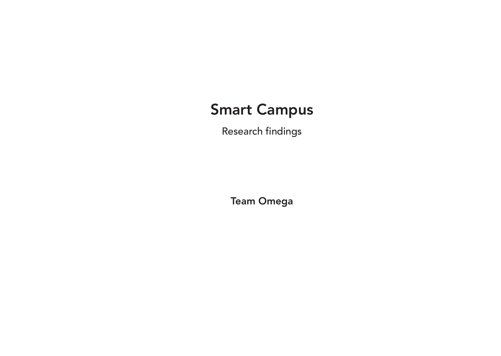## Smart Campus

Research findings

Team Omega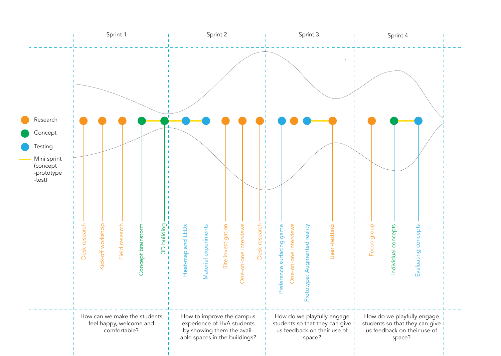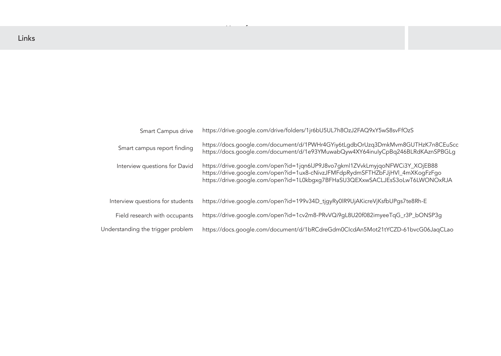https://drive.google.com/open?id=1L0kbgxg7BFHaSU3QEXxwSACLJEsS3oLwT6LWONOxRJA

21tYCZD-61bvcG06JaqCLao

| <b>Smart Campus drive</b>         | https://drive.google.com/drive/folders/1jr6bU5UL7h8OzJ2FAQ9xY5wS8svFfOzS                                                                                                                                                                     |
|-----------------------------------|----------------------------------------------------------------------------------------------------------------------------------------------------------------------------------------------------------------------------------------------|
| Smart campus report finding       | https://docs.google.com/document/d/1PWHr4GYiy6tLgdbOrUzq3DmkMvm8GUTHzK7n80<br>https://docs.google.com/document/d/1e93YMuwabQyw4XY64inulyCpBq246BLRdKAznSP                                                                                    |
| Interview questions for David     | https://drive.google.com/open?id=1jqn6lJP9J8vo7gkml1ZVvkLmyjqoNFWCi3Y_XOjEB88<br>https://drive.google.com/open?id=1ux8-cNivzJFMFdpRydmSFTHZbFJjHVl_4mXKogFzFgo<br>https://drive.google.com/open?id=1L0kbgxg7BFHaSU3QEXxwSACLJEsS3oLwT6LWONOx |
| Interview questions for students  | https://drive.google.com/open?id=199v34D_tjgyRy0lR9UjAKicreVjKsfbUPgs7te8Rh-E                                                                                                                                                                |
| Field research with occupants     | https://drive.google.com/open?id=1cv2m8-PRvVQi9gL8U20f082imyeeTqG_r3P_bONSP3c                                                                                                                                                                |
| Understanding the trigger problem | https://docs.google.com/document/d/1bRCdreGdm0ClcdAn5Mot21tYCZD-61bvcG06Jaq                                                                                                                                                                  |

Use of space

## SwS8svFfOzS

DmkMvm8GUTHzK7n8CEuScc lyCpBq246BLRdKAznSPBGLg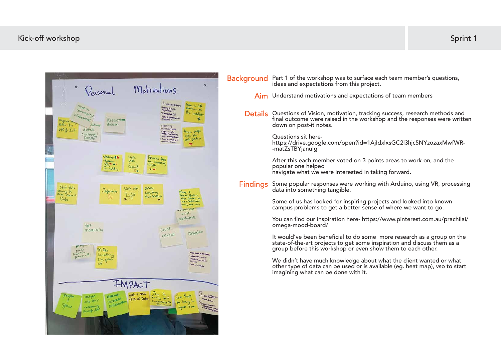| Background Part 1 of the workshop was to surface each team member's questions,<br>ideas and expectations from this project.                                                                                      |
|------------------------------------------------------------------------------------------------------------------------------------------------------------------------------------------------------------------|
| Aim Understand motivations and expectations of team members                                                                                                                                                      |
| Details Questions of Vision, motivation, tracking success, research methods and<br>final outcome were raised in the workshop and the responses were writter-<br>down on post-it notes.                           |
| Questions sit here-<br>https://drive.google.com/open?id=1AjIdxlxsGC2l3hjc5NYzozaxMwfWR-<br>-matZsTBYjanulg                                                                                                       |
| After this each member voted on 3 points areas to work on, and the<br>popular one helped<br>navigate what we were interested in taking forward.                                                                  |
| Findings Some popular responses were working with Arduino, using VR, processin<br>data into something tangible.                                                                                                  |
| Some of us has looked for inspiring projects and looked into known<br>campus problems to get a better sense of where we want to go.                                                                              |
| You can find our inspiration here- https://www.pinterest.com.au/prachilai<br>omega-mood-board/                                                                                                                   |
| It would've been beneficial to do some more research as a group on the<br>state-of-the-art projects to get some inspiration and discuss them as a<br>group before this workshop or even show them to each other. |
| We didn't have much knowledge about what the client wanted or what<br>other type of data can be used or is available (eg. heat map), vso to start<br>imagining what can be done with it.                         |
|                                                                                                                                                                                                                  |
|                                                                                                                                                                                                                  |
|                                                                                                                                                                                                                  |

success, research methods and pp and the responses were written

ith Arduino, using VR, processing

## Kick-off workshop: Team Sprint 1 Kick-off workshop On-site research with occupants Sprint 1

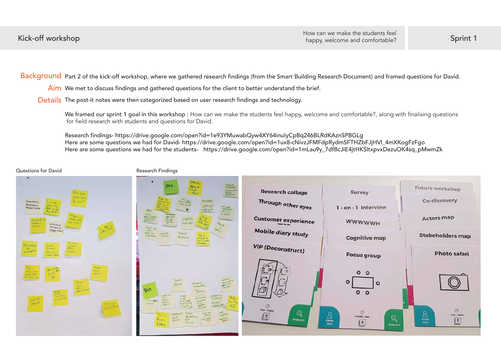We framed our sprint 1 goal in this workshop : How can we make the students feel happy, welcome and comfortable?, along with finalising questions for field research with students and questions for David.

Background Part 2 of the kick-off workshop, where we gathered research findings (from the Smart Building Research Document) and framed questions for David.

 $\mathsf{Aim}\,$  We met to discuss findings and gathered questions for the client to better understand the brief.

Details The post-it notes were then categorized based on user research findings and technology.

Research findings- https://drive.google.com/open?id=1e93YMuwabQyw4XY64inuIyCpBq246BLRdKAznSPBGLg Here are some questions we had for David- https://drive.google.com/open?id=1ux8-cNivzJFMFdpRydmSFTHZbFJjHVl\_4mXKogFzFgo Here are some questions we had for the students- https://drive.google.com/open?id=1mLau9y\_7dfBcJiE4jtHKSltxpvxDezuOK4sq\_pMwmZk

## Questions for David **Research Findings**





| <b>Research collage</b>       | <b>Survey</b>                                      |
|-------------------------------|----------------------------------------------------|
| Through other eyes            | 1 - on - 1 Interview                               |
| <b>Customer experience</b>    | <b>WWWWWH</b>                                      |
| <b>Mobile diary study</b>     | <b>Cognitive map</b>                               |
| <b>ViP (Deconstruct)</b>      | <b>Focus group</b>                                 |
|                               | $\circ$ $\circ$<br>۰<br>$\circ$<br>$\circ$ $\circ$ |
| <b>LOAY-TWEEK</b><br>Research | ⊙<br>4 HOURS - I DAY<br>User                       |

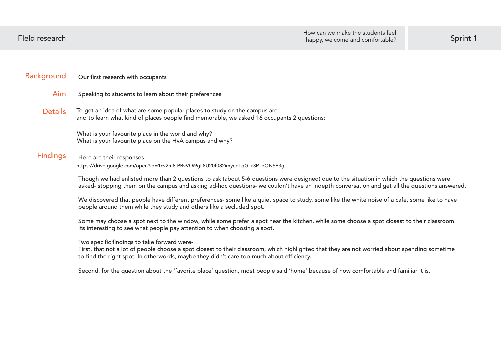| <b>Background</b> | Our first research with occupants                                                                                                                                                                                                                                |
|-------------------|------------------------------------------------------------------------------------------------------------------------------------------------------------------------------------------------------------------------------------------------------------------|
| Aim               | Speaking to students to learn about their preferences                                                                                                                                                                                                            |
| <b>Details</b>    | To get an idea of what are some popular places to study on the campus are<br>and to learn what kind of places people find memorable, we asked 16 occupants 2 questions:                                                                                          |
|                   | What is your favourite place in the world and why?<br>What is your favourite place on the HvA campus and why?                                                                                                                                                    |
| <b>Findings</b>   | Here are their responses-<br>https://drive.google.com/open?id=1cv2m8-PRvVQi9gL8U20f082imyeeTqG_r3P_bONSP3g                                                                                                                                                       |
|                   | Though we had enlisted more than 2 questions to ask (about 5-6 questions were designed) due to the situation in v<br>asked- stopping them on the campus and asking ad-hoc questions- we couldn't have an indepth conversation and g                              |
|                   | We discovered that people have different preferences- some like a quiet space to study, some like the white noise<br>people around them while they study and others like a secluded spot.                                                                        |
|                   | Some may choose a spot next to the window, while some prefer a spot near the kitchen, while some choose a spot<br>Its interesting to see what people pay attention to when choosing a spot.                                                                      |
|                   | Two specific findings to take forward were-<br>First, that not a lot of people choose a spot closest to their classroom, which highlighted that they are not worried<br>to find the right spot. In otherwords, maybe they didn't care too much about efficiency. |
|                   | Second, for the question about the 'favorite place' question, most people said 'home' because of how comfortable                                                                                                                                                 |
|                   |                                                                                                                                                                                                                                                                  |
|                   |                                                                                                                                                                                                                                                                  |

which the questions were get all the questions answered.

of a cafe, some like to have

closest to their classroom.

about spending sometime

 $\theta$  and familiar it is.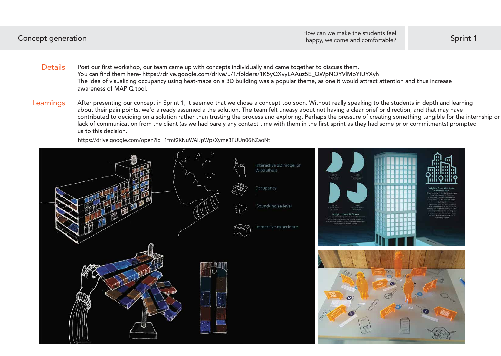- Post our first workshop, our team came up with concepts individually and came together to discuss them. You can find them here- https://drive.google.com/drive/u/1/folders/1K5yQXvyLAAuz5E\_QWpNOYVlMbYIUYXyh The idea of visualizing occupancy using heat-maps on a 3D building was a popular theme, as one it would attract attention and thus increase awareness of MAPIQ tool. **Details**
- After presenting our concept in Sprint 1, it seemed that we chose a concept too soon. Without really speaking to the students in depth and learning about their pain points, we'd already assumed a the solution. The team felt uneasy about not having a clear brief or direction, and that may have contributed to deciding on a solution rather than trusting the process and exploring. Perhaps the pressure of creating something tangible for the internship or lack of communication from the client (as we had barely any contact time with them in the first sprint as they had some prior commitments) prompted us to this decision. Learnings

Concept generation **Sprint 1** and the set of the set of the set of the set of the set of the set of the set of the set of the set of the set of the set of the set of the set of the set of the set of the set of the set of t How can we make the students feel

https://drive.google.com/open?id=1fmf2KNuWAIJpWpsXyme3FUUn06hZaoNt

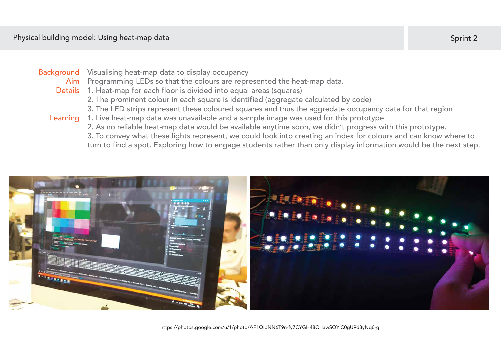## Physical building model: Using heat-map data

## Background Visualising heat-map data to display occupancy

Aim Programming LEDs so that the colours are represented the heat-map data.

https://photos.google.com/u/1/photo/AF1QipNN6T9n-fy7CYGH48OrIawSOYjC0gU9d8yNq6-g

- Details 1. Heat-map for each floor is divided into equal areas (squares)
	- 2. The prominent colour in each square is identified (aggregate calculated by code)
	- 3. The LED strips represent these coloured squares and thus the aggredate occupancy data for that region

1. Live heat-map data was unavailable and a sample image was used for this prototype 2. As no reliable heat-map data would be available anytime soon, we didn't progress with this prototype. 3. To convey what these lights represent, we could look into creating an index for colours and can know where to turn to find a spot. Exploring how to engage students rather than only display information would be the next step.



## Learning

## Sprint 2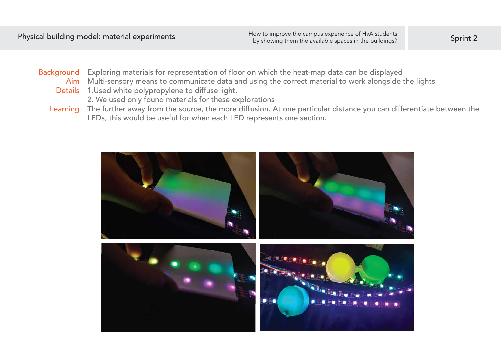## Background Exploring materials for representation of floor on which the heat-map data can be displayed Multi-sensory means to communicate data and using the correct material to work alongside the lights Aim Details 1. Used white polypropylene to diffuse light.

## Learning The further away from the source, the more diffusion. At one particular distance you can differentiate between the LEDs, this would be useful for when each LED represents one section.







2. We used only found materials for these explorations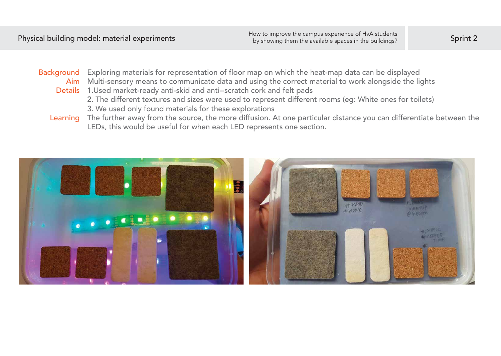Background Exploring materials for representation of floor map on which the heat-map data can be displayed Multi-sensory means to communicate data and using the correct material to work alongside the lights Aim

- 
- Details 1. Used market-ready anti-skid and anti--scratch cork and felt pads 2. The different textures and sizes were used to represent different rooms (eg: White ones for toilets)
	- 3. We used only found materials for these explorations
- The further away from the source, the more diffusion. At one particular distance you can differentiate between the LEDs, this would be useful for when each LED represents one section. Learning

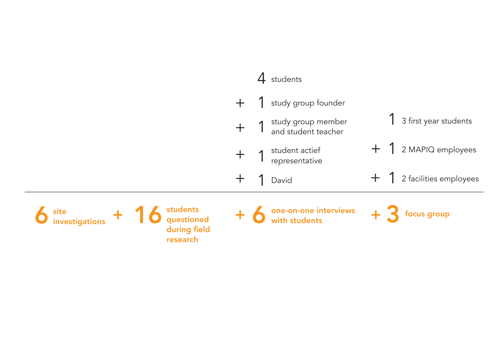

# 1 + 2 MAPIQ employees

2 facilities employees

1 3 first year students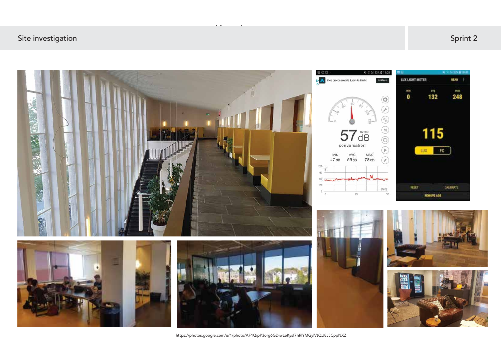## Site investigation: Known problems and research findings On-site research findings On-site investigation Sprint 2



Measuring a space

https://photos.google.com/u/1/photo/AF1QipP3org6GDiwLeKysf7hRlYMGylVtQU8J5CppNXZ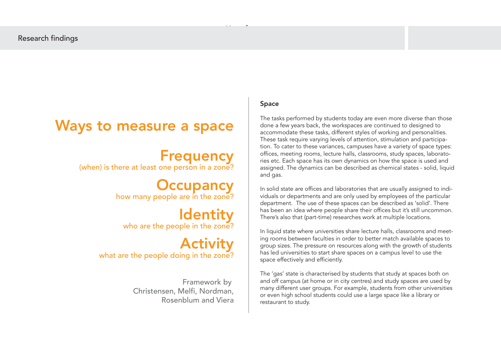## Space

The tasks performed by students today are even more diverse than those done a few years back, the workspaces are continued to designed to accommodate these tasks, different styles of working and personalities. These task require varying levels of attention, stimulation and participation. To cater to these variances, campuses have a variety of space types: offices, meeting rooms, lecture halls, classrooms, study spaces, laboratories etc. Each space has its own dynamics on how the space is used and assigned. The dynamics can be described as chemical states - solid, liquid and gas.

In solid state are offices and laboratories that are usually assigned to individuals or departments and are only used by employees of the particular department. The use of these spaces can be described as 'solid'. There has been an idea where people share their offices but it's still uncommon. There's also that (part-time) researches work at multiple locations.

In liquid state where universities share lecture halls, classrooms and meeting rooms between faculties in order to better match available spaces to group sizes. The pressure on resources along with the growth of students has led universities to start share spaces on a campus level to use the space effectively and efficiently.

The 'gas' state is characterised by students that study at spaces both on and off campus (at home or in city centres) and study spaces are used by many different user groups. For example, students from other universities or even high school students could use a large space like a library or restaurant to study.

Use of space

## Ways to measure a space

# **Frequency**<br>? (when) is there at least one person in a zone)

**Occupancy**<br>? how many people are in the zone?

Identity<br>
who are the people in the zone?

Activity<br>?what are the people doing in the zone

Framework by Christensen, Melfi, Nordman, Rosenblum and Viera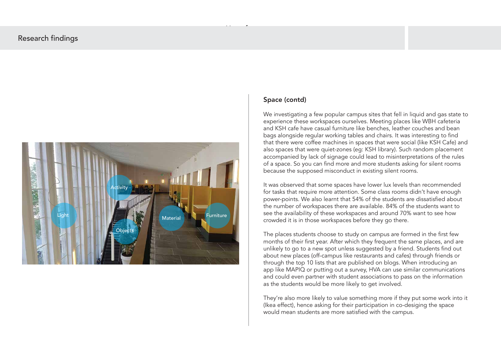## Space (contd)

We investigating a few popular campus sites that fell in liquid and gas state to experience these workspaces ourselves. Meeting places like WBH cafeteria and KSH cafe have casual furniture like benches, leather couches and bean bags alongside regular working tables and chairs. It was interesting to find that there were coffee machines in spaces that were social (like KSH Cafe) and also spaces that were quiet-zones (eg: KSH library). Such random placement accompanied by lack of signage could lead to misinterpretations of the rules of a space. So you can find more and more students asking for silent rooms because the supposed misconduct in existing silent rooms.

It was observed that some spaces have lower lux levels than recommended for tasks that require more attention. Some class rooms didn't have enough power-points. We also learnt that 54% of the students are dissatisfied about the number of workspaces there are available. 84% of the students want to see the availability of these workspaces and around 70% want to see how crowded it is in those workspaces before they go there.

The places students choose to study on campus are formed in the first few months of their first year. After which they frequent the same places, and are unlikely to go to a new spot unless suggested by a friend. Students find out about new places (off-campus like restaurants and cafes) through friends or through the top 10 lists that are published on blogs. When introducing an app like MAPIQ or putting out a survey, HVA can use similar communications and could even partner with student associations to pass on the information as the students would be more likely to get involved.

They're also more likely to value something more if they put some work into it (Ikea effect), hence asking for their participation in co-desiging the space would mean students are more satisfied with the campus.



Use of space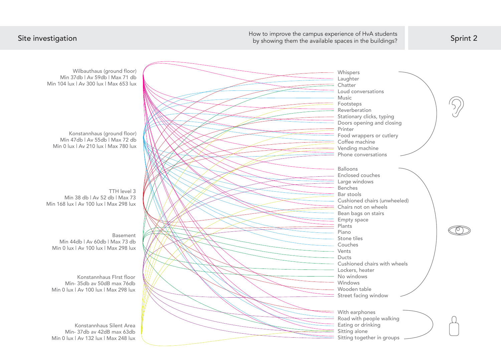How to improve the campus experience of HvA students<br>by showing them the available spaces in the buildings? Sprint 2

Konstannhaus (ground floor) Min 47db | Av 55db | Max 72 db Min 0 lux | Av 210 lux | Max 780 lux

Wilbauthaus (ground floor) Min 37db | Av 59db | Max 71 db Min 104 lux | Av 300 lux | Max 653 lux

Basement Min 44db | Av 60db | Max 73 db Min 0 lux | Av 100 lux | Max 298 lux

TTH level 3 Min 38 db | Av 52 db | Max 73 Min 168 lux | Av 100 lux | Max 298 lux

Konstannhaus FIrst floor Min- 35db av 50dB max 76db Min 0 lux | Av 100 lux | Max 298 lux

Konstannhaus Silent Area Min- 37db av 42dB max 63db Min 0 lux | Av 132 lux | Max 248 lux

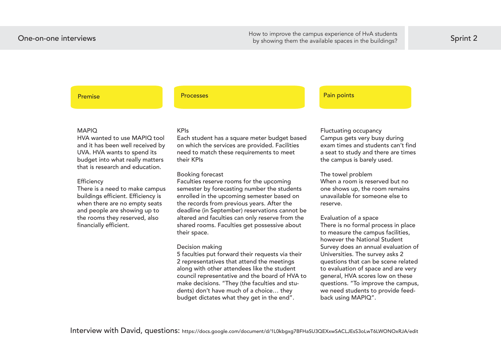One-on-one interviews and research and research in the sumples of the compensation of the compensation of the spaces in the buildings? One-on-one interviews Move the campus experience of HvA students<br>hy change them the available ences in the buildings?

## Premise Processes Processes Processes Processes Premise Pain points

## MAPIQ

HVA wanted to use MAPIQ tool and it has been well received by UVA. HVA wants to spend its budget into what really matters that is research and education.

### **Efficiency**

There is a need to make campus buildings efficient. Efficiency is when there are no empty seats and people are showing up to the rooms they reserved, also financially efficient.

## KPIs

Each student has a square meter budget based on which the services are provided. Facilities need to match these requirements to meet their KPIs

### Booking forecast

Faculties reserve rooms for the upcoming semester by forecasting number the students enrolled in the upcoming semester based on the records from previous years. After the deadline (in September) reservations cannot be altered and faculties can only reserve from the shared rooms. Faculties get possessive about their space.

## Decision making

5 faculties put forward their requests via their 2 representatives that attend the meetings along with other attendees like the student council representative and the board of HVA to make decisions. "They (the faculties and students) don't have much of a choice… they budget dictates what they get in the end".

Fluctuating occupancy Campus gets very busy during exam times and students can't find a seat to study and there are times the campus is barely used.

The towel problem When a room is reserved but no one shows up, the room remains unavailable for someone else to reserve.

Evaluation of a space There is no formal process in place to measure the campus facilities, however the National Student Survey does an annual evaluation of Universities. The survey asks 2 questions that can be scene related to evaluation of space and are very general, HVA scores low on these questions. "To improve the campus, we need students to provide feedback using MAPIQ".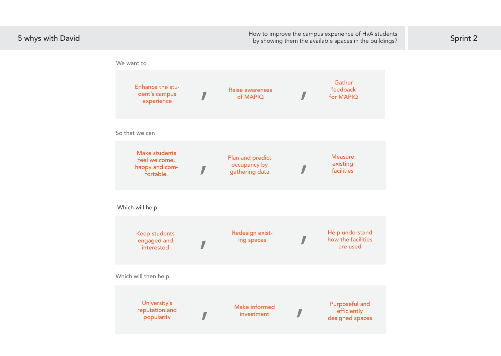

5 whys with David<br>
<sup>5</sup> by showing them the available spaces in the buildings? by showing them the available spaces in the buildings?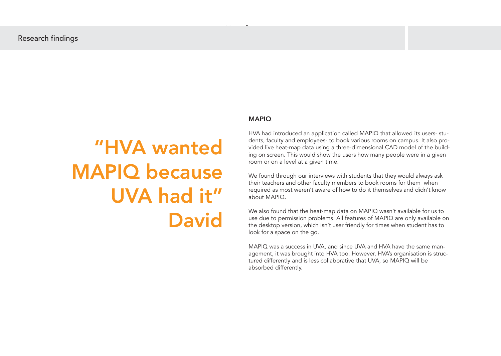## MAPIQ

HVA had introduced an application called MAPIQ that allowed its users- students, faculty and employees- to book various rooms on campus. It also provided live heat-map data using a three-dimensional CAD model of the building on screen. This would show the users how many people were in a given room or on a level at a given time.

We found through our interviews with students that they would always ask their teachers and other faculty members to book rooms for them when required as most weren't aware of how to do it themselves and didn't know about MAPIQ.

We also found that the heat-map data on MAPIQ wasn't available for us to use due to permission problems. All features of MAPIQ are only available on the desktop version, which isn't user friendly for times when student has to look for a space on the go.

MAPIQ was a success in UVA, and since UVA and HVA have the same management, it was brought into HVA too. However, HVA's organisation is structured differently and is less collaborative that UVA, so MAPIQ will be absorbed differently.

# "HVA wanted MAPIQ because UVA had it" David

Use of space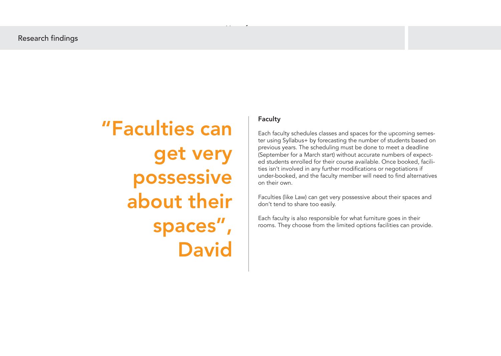Use of space

## Faculty

Each faculty schedules classes and spaces for the upcoming semester using Syllabus+ by forecasting the number of students based on previous years. The scheduling must be done to meet a deadline (September for a March start) without accurate numbers of expected students enrolled for their course available. Once booked, facilities isn't involved in any further modifications or negotiations if under-booked, and the faculty member will need to find alternatives on their own.

Faculties (like Law) can get very possessive about their spaces and don't tend to share too easily.

Each faculty is also responsible for what furniture goes in their rooms. They choose from the limited options facilities can provide.

"Faculties can get very possessive about their spaces", David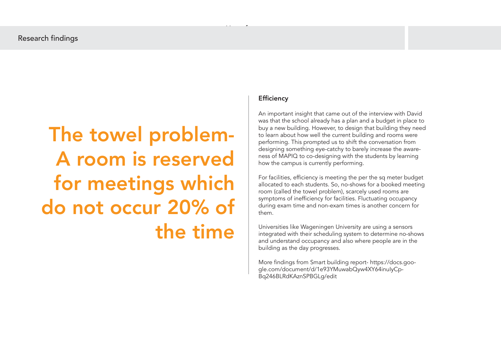Use of space

# The towel problem-A room is reserved for meetings which do not occur 20% of the time

## **Efficiency**

An important insight that came out of the interview with David was that the school already has a plan and a budget in place to buy a new building. However, to design that building they need to learn about how well the current building and rooms were performing. This prompted us to shift the conversation from designing something eye-catchy to barely increase the awareness of MAPIQ to co-designing with the students by learning how the campus is currently performing.

For facilities, efficiency is meeting the per the sq meter budget allocated to each students. So, no-shows for a booked meeting room (called the towel problem), scarcely used rooms are symptoms of inefficiency for facilities. Fluctuating occupancy during exam time and non-exam times is another concern for them.

Universities like Wageningen University are using a sensors integrated with their scheduling system to determine no-shows and understand occupancy and also where people are in the building as the day progresses.

More findings from Smart building report- https://docs.google.com/document/d/1e93YMuwabQyw4XY64inuIyCp-Bq246BLRdKAznSPBGLg/edit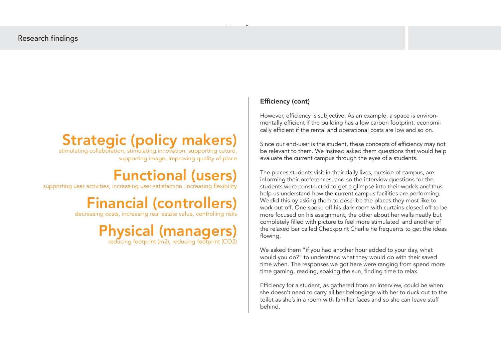## Strategic (policy makers)

 stimulating collaboration, stimulating innovation, supporting cuture, supporting image, improving quality of place

## Functional (users)

supporting user activities, increasing user satisfaction, increasing flexibility

## Financial (controllers)

decreasing costs, increasing real estate value, controlling risks

# **Physical (managers)** reducing footprint (CO2)

## Efficiency (cont)

However, efficiency is subjective. As an example, a space is environmentally efficient if the building has a low carbon footprint, economically efficient if the rental and operational costs are low and so on.

Since our end-user is the student, these concepts of efficiency may not be relevant to them. We instead asked them questions that would help evaluate the current campus through the eyes of a students.

The places students visit in their daily lives, outside of campus, are informing their preferences, and so the interview questions for the students were constructed to get a glimpse into their worlds and thus help us understand how the current campus facilities are performing. We did this by asking them to describe the places they most like to work out off. One spoke off his dark room with curtains closed-off to be more focused on his assignment, the other about her walls neatly but completely filled with picture to feel more stimulated and another of the relaxed bar called Checkpoint Charlie he frequents to get the ideas flowing.

We asked them "if you had another hour added to your day, what would you do?" to understand what they would do with their saved time when. The responses we got here were ranging from spend more time gaming, reading, soaking the sun, finding time to relax.

Efficiency for a student, as gathered from an interview, could be when she doesn't need to carry all her belongings with her to duck out to the toilet as she's in a room with familiar faces and so she can leave stuff behind.

Use of space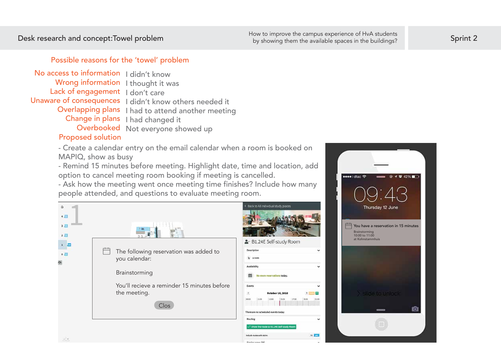## Possible reasons for the 'towel' problem

## Proposed solution

No access to information I didn't know Wrong information I thought it was Lack of engagement I don't care Unaware of consequences I didn't know others needed it Overlapping plans I had to attend another meeting Change in plans I had changed it Overbooked Not everyone showed up

> - Create a calendar entry on the email calendar when a room is booked on MAPIQ, show as busy

- Remind 15 minutes before meeting. Highlight date, time and location, add option to cancel meeting room booking if meeting is cancelled.

- Ask how the meeting went once meeting time finishes? Include how many people attended, and questions to evaluate meeting room.





●●●●○ dtac 18

Desk research and concept:Towel problem Butcher and the sprint 2<br>Sprint 2<br>By showing them the available spaces in the buildings?

by showing them the available spaces in the buildings?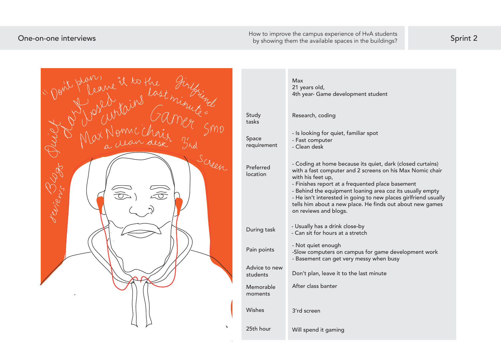How to improve the campus experience of HvA students<br>By showing them the available spaces in the buildings? Sprint 2

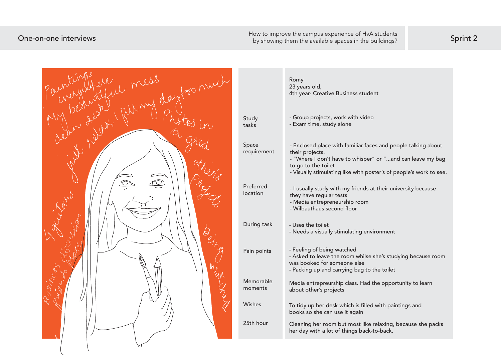by showing them the available spaces in the buildings?

|                       | Romy<br>23 years old,<br>4th year- Creative Business student                                                                                                                                                                               |
|-----------------------|--------------------------------------------------------------------------------------------------------------------------------------------------------------------------------------------------------------------------------------------|
| Study<br>tasks        | - Group projects, work with video<br>- Exam time, study alone                                                                                                                                                                              |
| Space<br>requirement  | - Enclosed place with familiar faces and people talking about<br>their projects.<br>- "Where I don't have to whisper" or "and can leave my bag<br>to go to the toilet<br>- Visually stimulating like with poster's of people's work to see |
| Preferred<br>location | - I usually study with my friends at their university because<br>they have regular tests<br>- Media entrepreneurship room<br>- Wilbauthaus second floor                                                                                    |
| During task           | - Uses the toilet<br>- Needs a visually stimulating environment                                                                                                                                                                            |
| Pain points           | - Feeling of being watched<br>- Asked to leave the room whilse she's studying because room<br>was booked for someone else<br>- Packing up and carrying bag to the toilet                                                                   |
| Memorable<br>moments  | Media entrepreurship class. Had the opportunity to learn<br>about other's projects                                                                                                                                                         |
| Wishes                | To tidy up her desk which is filled with paintings and<br>books so she can use it again                                                                                                                                                    |
| 25th hour             | Cleaning her room but most like relaxing, because she packs<br>her day with a lot of things back-to-back.                                                                                                                                  |
|                       |                                                                                                                                                                                                                                            |

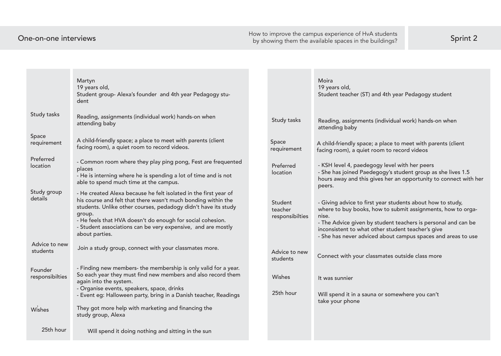One-on-one interviews Sprint 2 How to improve the campus experience of HvA students

|                            | Martyn<br>19 years old,<br>Student group-Alexa's founder and 4th year Pedagogy stu-<br>dent                                                                                                                                                                                                                                                                   |                                       | Moira<br>19 years old,<br>Student teacher (ST) an                                                                                                |
|----------------------------|---------------------------------------------------------------------------------------------------------------------------------------------------------------------------------------------------------------------------------------------------------------------------------------------------------------------------------------------------------------|---------------------------------------|--------------------------------------------------------------------------------------------------------------------------------------------------|
| Study tasks                | Reading, assignments (individual work) hands-on when<br>attending baby                                                                                                                                                                                                                                                                                        | Study tasks                           | Reading, assignments (i<br>attending baby                                                                                                        |
| Space<br>requirement       | A child-friendly space; a place to meet with parents (client<br>facing room), a quiet room to record videos.                                                                                                                                                                                                                                                  | Space<br>requirement                  | A child-friendly space; a<br>facing room), a quiet roo                                                                                           |
| Preferred<br>location      | - Common room where they play ping pong, Fest are frequented<br>places<br>- He is interning where he is spending a lot of time and is not<br>able to spend much time at the campus.                                                                                                                                                                           | Preferred<br>location                 | - KSH level 4, paedegog<br>- She has joined Paedeg<br>hours away and this giv<br>peers.                                                          |
| Study group<br>details     | - He created Alexa because he felt isolated in the first year of<br>his course and felt that there wasn't much bonding within the<br>students. Unlike other courses, pedadogy didn't have its study<br>group.<br>- He feels that HVA doesn't do enough for social cohesion.<br>- Student associations can be very expensive, and are mostly<br>about parties. | Student<br>teacher<br>responsibilties | - Giving advice to first y<br>where to buy books, ho<br>nise.<br>- The Advice given by st<br>inconsistent to what oth<br>- She has never adviced |
| Advice to new<br>students  | Join a study group, connect with your classmates more.                                                                                                                                                                                                                                                                                                        | Advice to new<br>students             | Connect with your class                                                                                                                          |
| Founder<br>responsibilties | - Finding new members- the membership is only valid for a year.<br>So each year they must find new members and also record them<br>again into the system.<br>- Organise events, speakers, space, drinks<br>- Event eg: Halloween party, bring in a Danish teacher, Readings                                                                                   | Wishes<br>25th hour                   | It was sunnier<br>Will spend it in a sauna                                                                                                       |
| Wishes                     | They got more help with marketing and financing the<br>study group, Alexa                                                                                                                                                                                                                                                                                     |                                       | take your phone                                                                                                                                  |
| 25th hour                  | Will spend it doing nothing and sitting in the sun                                                                                                                                                                                                                                                                                                            |                                       |                                                                                                                                                  |

nd 4th year Pedagogy student

individual work) hands-on when

I place to meet with parents (client om to record videos

gy level with her peers - S<br>gogy's student group as she lives 1.5  $\overline{\phantom{a}}$  ves her an opportunity to connect with her

year students about how to study, ow to submit assignments, how to orga-

student teachers is personal and can be her student teacher's give l about campus spaces and areas to use

smates outside class more

or somewhere you can't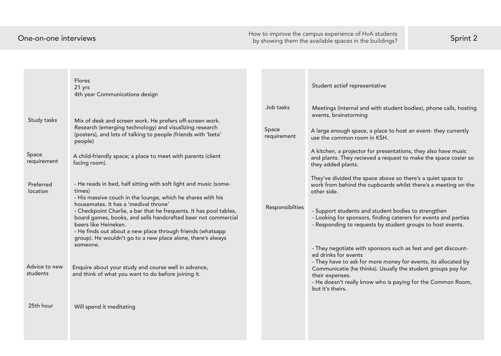How to improve the campus experience of HvA students<br>by showing them the available spaces in the buildings? Sprint 2

|                           | <b>Flores</b><br>21 yrs<br>4th year Communications design                                                                                                                                                                                                                                                                                                                                        |                    | Student actief representative                                                                                         |
|---------------------------|--------------------------------------------------------------------------------------------------------------------------------------------------------------------------------------------------------------------------------------------------------------------------------------------------------------------------------------------------------------------------------------------------|--------------------|-----------------------------------------------------------------------------------------------------------------------|
| Study tasks               | Mix of desk and screen work. He prefers off-screen work.<br>Research (emerging technology) and visuslizing research<br>(posters), and lots of talking to people (friends with 'beta'                                                                                                                                                                                                             | Job tasks<br>Space | Meetings (internal and with s<br>events, brainstorming<br>A large enough space, a place                               |
| Space<br>requirement      | people)<br>A child-friendly space; a place to meet with parents (client<br>facing room).                                                                                                                                                                                                                                                                                                         | requirement        | use the common room in KSH<br>A kitchen, a projector for pres<br>and plants. They recieved a re<br>they added plants. |
| Preferred<br>location     | - He reads in bed, half sitting with soft light and music (some-<br>times)                                                                                                                                                                                                                                                                                                                       |                    | They've divided the space ab<br>work from behind the cupboa<br>other side.                                            |
|                           | - His massive couch in the lounge, which he shares with his<br>housemates. It has a 'medival throne'<br>- Checkpoint Charlie, a bar that he frequents. It has pool tables,<br>board games, books, and sells handcrafted beer not commercial<br>beers like Heineken.<br>- He finds out about a new place through friends (whatsapp<br>group). He wouldn't go to a new place alone, there's always | Responsibilties    | - Support students and stude<br>- Looking for sponsors, findin<br>- Responding to requests by                         |
|                           | someone.                                                                                                                                                                                                                                                                                                                                                                                         |                    | - They negotiate with sponso<br>ed drinks for events<br>- They have to ask for more n                                 |
| Advice to new<br>students | Enquire about your study and course well in advance,<br>and think of what you want to do before joining it.                                                                                                                                                                                                                                                                                      |                    | Communicatie (he thinks). Us<br>their expenses.<br>- He doesn't really know who<br>but it's theirs.                   |
| 25th hour                 | Will spend it meditating                                                                                                                                                                                                                                                                                                                                                                         |                    |                                                                                                                       |

th student bodies), phone calls, hosting

lace to host an event- they currently  $SH.$ 

oresentations, they also have music a request to make the space cosier so

above so there's a quiet space to poards whilst there's a meeting on the

dent bodies to strengthen ding caterers for events and parties by student groups to host events.

nsors such as fest and get discount-

re money for events, its allocated by Usually the student groups pay for

rho is paying for the Common Room,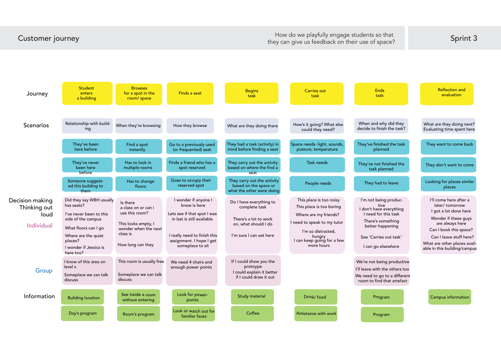### Reflection and evaluation

When and why did they decide to finish the task?

What are they doing next? Evaluating time spent here



A chair the lens of the lens of space of space of the lens of the lens of the lens of space of space of space of space of space of space of space of space of space of space of space of space of space of space of space of s they can give us feedback on their use of space?

> I'm not being productive I don't have everything

There's something

Can I leave stuff here? What are other places available in this building/campus

I'll come here after a later/ tomorrow I got a lot done here

Wonder if these guys are always here

We're not being productive

We need to go to a different room to find that artefact

I'll leave with the others too

### Ends task

Program

Campus information

They've finished the task planned

They want to come back

They don't want to come

Looking for places similar places

They've not finished the task planned

They had to leave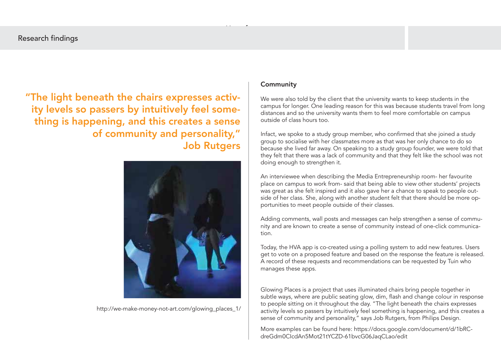## Community

We were also told by the client that the university wants to keep students in the campus for longer. One leading reason for this was because students travel from long distances and so the university wants them to feel more comfortable on campus outside of class hours too.

Infact, we spoke to a study group member, who confirmed that she joined a study group to socialise with her classmates more as that was her only chance to do so because she lived far away. On speaking to a study group founder, we were told that they felt that there was a lack of community and that they felt like the school was not doing enough to strengthen it.

An interviewee when describing the Media Entrepreneurship room- her favourite place on campus to work from- said that being able to view other students' projects was great as she felt inspired and it also gave her a chance to speak to people outside of her class. She, along with another student felt that there should be more opportunities to meet people outside of their classes.

Adding comments, wall posts and messages can help strengthen a sense of community and are known to create a sense of community instead of one-click communication.

Today, the HVA app is co-created using a polling system to add new features. Users get to vote on a proposed feature and based on the response the feature is released. A record of these requests and recommendations can be requested by Tuin who manages these apps.

Glowing Places is a project that uses illuminated chairs bring people together in subtle ways, where are public seating glow, dim, flash and change colour in response to people sitting on it throughout the day. "The light beneath the chairs expresses activity levels so passers by intuitively feel something is happening, and this creates a sense of community and personality," says Job Rutgers, from Philips Design.

"The light beneath the chairs expresses activity levels so passers by intuitively feel something is happening, and this creates a sense of community and personality," Job Rutgers

Use of space



http://we-make-money-not-art.com/glowing\_places\_1/

More examples can be found here: https://docs.google.com/document/d/1bRCdreGdm0CIcdAn5Mot21tYCZD-61bvcG06JaqCLao/edit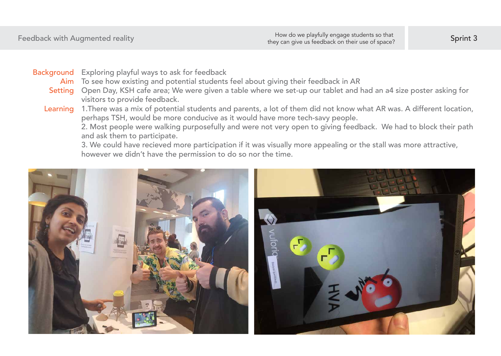Open Day, KSH cafe area; We were given a table where we set-up our tablet and had an a4 size poster asking for visitors to provide feedback.

Exploring playful ways to ask for feedback Background

To see how existing and potential students feel about giving their feedback in AR Aim

1.There was a mix of potential students and parents, a lot of them did not know what AR was. A different location, perhaps TSH, would be more conducive as it would have more tech-savy people. 2. Most people were walking purposefully and were not very open to giving feedback. We had to block their path and ask them to participate.

3. We could have recieved more participation if it was visually more appealing or the stall was more attractive, however we didn't have the permission to do so nor the time.



Setting

Learning